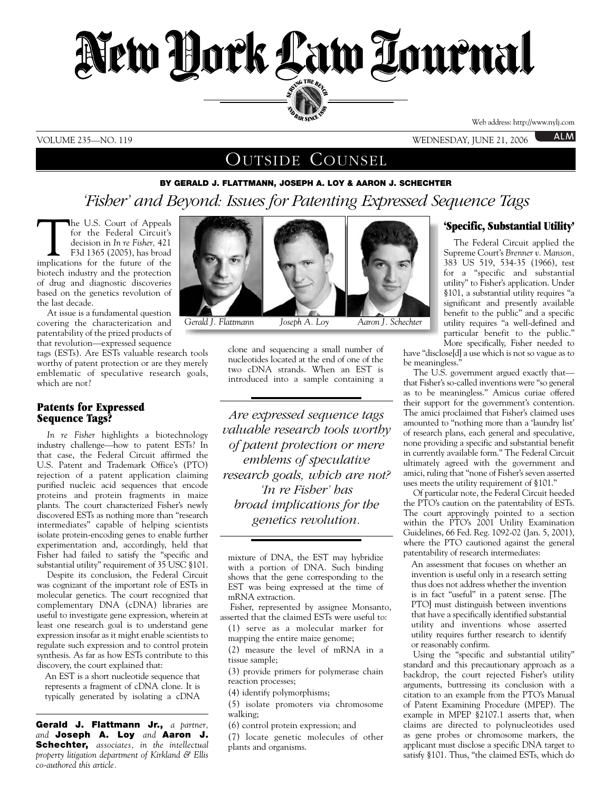

### VOLUME 235—NO. 119 WEDNESDAY, JUNE 21, 2006

**ALM** 

## OUTSIDE COUNSEL

### **BY GERALD J. FLATTMANN, JOSEPH A. LOY & AARON J. SCHECHTER**

# *'Fisher' and Beyond: Issues for Patenting Expressed Sequence Tags*

The U.S. Court of Appeals<br>for the Federal Circuit's<br>decision in *In re Fisher*, 421<br>F3d 1365 (2005), has broad<br>implications for the future of the for the Federal Circuit's decision in *In re Fisher,* 421 F3d 1365 (2005), has broad biotech industry and the protection of drug and diagnostic discoveries based on the genetics revolution of the last decade.

At issue is a fundamental question covering the characterization and patentability of the prized products of that revolution—expressed sequence

tags (ESTs). Are ESTs valuable research tools worthy of patent protection or are they merely emblematic of speculative research goals, which are not?

#### **Patents for Expressed Sequence Tags?**

*In re Fisher* highlights a biotechnology industry challenge—how to patent ESTs? In that case, the Federal Circuit affirmed the U.S. Patent and Trademark Office's (PTO) rejection of a patent application claiming purified nucleic acid sequences that encode proteins and protein fragments in maize plants. The court characterized Fisher's newly discovered ESTs as nothing more than "research intermediates" capable of helping scientists isolate protein-encoding genes to enable further experimentation and, accordingly, held that Fisher had failed to satisfy the "specific and substantial utility" requirement of 35 USC §101.

Despite its conclusion, the Federal Circuit was cognizant of the important role of ESTs in molecular genetics. The court recognized that complementary DNA (cDNA) libraries are useful to investigate gene expression, wherein at least one research goal is to understand gene expression insofar as it might enable scientists to regulate such expression and to control protein synthesis. As far as how ESTs contribute to this discovery, the court explained that:

An EST is a short nucleotide sequence that represents a fragment of cDNA clone. It is typically generated by isolating a cDNA

**Gerald J. Flattmann Jr.,** *a partner, and* **Joseph A. Loy** *and* **Aaron J. Schechter,** *associates, in the intellectual property litigation department of Kirkland & Ellis co-authored this article.* 



*Gerald J. Flattmann Joseph A. Loy Aaron J. Schechter*

clone and sequencing a small number of nucleotides located at the end of one of the two cDNA strands. When an EST is introduced into a sample containing a

*------------------------------------------------*

*Are expressed sequence tags valuable research tools worthy of patent protection or mere emblems of speculative research goals, which are not? 'In re Fisher' has broad implications for the genetics revolution.* 

mixture of DNA, the EST may hybridize with a portion of DNA. Such binding shows that the gene corresponding to the EST was being expressed at the time of mRNA extraction.

*------------------------------------------------*

Fisher, represented by assignee Monsanto, asserted that the claimed ESTs were useful to:

(1) serve as a molecular marker for mapping the entire maize genome;

(2) measure the level of mRNA in a tissue sample;

(3) provide primers for polymerase chain reaction processes;

(4) identify polymorphisms;

(5) isolate promoters via chromosome walking;

(6) control protein expression; and

(7) locate genetic molecules of other plants and organisms.

#### **'Specific, Substantial Utility'**

The Federal Circuit applied the Supreme Court's *Brenner v. Manson,* 383 US 519, 534-35 (1966), test for a "specific and substantial utility" to Fisher's application. Under §101, a substantial utility requires "a significant and presently available benefit to the public" and a specific utility requires "a well-defined and particular benefit to the public." More specifically, Fisher needed to

have "disclose[d] a use which is not so vague as to be meaningless.'

The U.S. government argued exactly that that Fisher's so-called inventions were "so general as to be meaningless." Amicus curiae offered their support for the government's contention. The amici proclaimed that Fisher's claimed uses amounted to "nothing more than a 'laundry list' of research plans, each general and speculative, none providing a specific and substantial benefit in currently available form." The Federal Circuit ultimately agreed with the government and amici, ruling that "none of Fisher's seven asserted uses meets the utility requirement of §101."

Of particular note, the Federal Circuit heeded the PTO's caution on the patentability of ESTs. The court approvingly pointed to a section within the PTO's 2001 Utility Examination Guidelines, 66 Fed. Reg. 1092-02 (Jan. 5, 2001), where the PTO cautioned against the general patentability of research intermediates:

An assessment that focuses on whether an invention is useful only in a research setting thus does not address whether the invention is in fact "useful" in a patent sense. [The PTO] must distinguish between inventions that have a specifically identified substantial utility and inventions whose asserted utility requires further research to identify or reasonably confirm.

Using the "specific and substantial utility" standard and this precautionary approach as a backdrop, the court rejected Fisher's utility arguments, buttressing its conclusion with a citation to an example from the PTO's Manual of Patent Examining Procedure (MPEP). The example in MPEP §2107.1 asserts that, when claims are directed to polynucleotides used as gene probes or chromosome markers, the applicant must disclose a specific DNA target to satisfy §101. Thus, "the claimed ESTs, which do